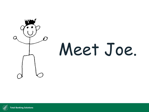

# Meet Joe.

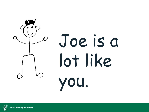

# Joe is a lot like ou.



**Total Banking Solutions**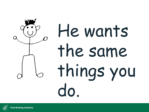

He wants the same things you do.

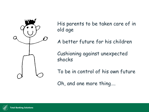

His parents to be taken care of in old age

A better future for his children

Cushioning against unexpected shocks

To be in control of his own future

Oh, and one more thing….

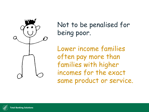

Not to be penalised for being poor.

Lower income families often pay more than families with higher incomes for the exact same product or service.

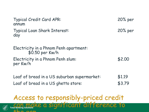| Typical Credit Card APR:<br>annum                         | 20% per |
|-----------------------------------------------------------|---------|
| <b>Typical Loan Shark Interest:</b><br>day                | 20% per |
| Electricity in a Phnom Penh apartment:<br>\$0.50 per Kw/h |         |
| Electricity in a Phnom Penh slum:<br>per Kw/h             | \$2.00  |
| Loaf of bread in a US suburban supermarket:               | \$1.19  |
| Loaf of bread in a US ghetto store:                       | \$3.79  |
|                                                           |         |

**Total Banking Solutions** Access to responsibly-priced credit can make a significant difference to the gap…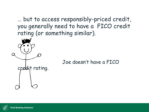… but to access responsibly-priced credit, you generally need to have a FICO credit rating (or something similar).



Joe doesn't have a FICO

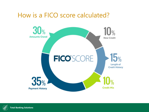## How is a FICO score calculated?



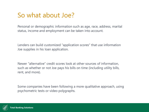# So what about Joe?

Personal or demographic information such as age, race, address, marital status, income and employment can be taken into account.

Lenders can build customized "application scores" that use information Joe supplies in his loan application.

Newer "alternative" credit scores look at other sources of information, such as whether or not Joe pays his bills on time (including utility bills, rent, and more).

Some companies have been following a more qualitative approach, using psychometric tests or video polygraphs.

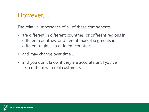### However….

The relative importance of all of these components:

- are different in different countries, or different regions in different countries, or different market segments in different regions in different countries….
- and may change over time....
- and you don't know if they are accurate until you've tested them with real customers

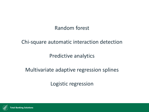#### Random forest

#### Chi-square automatic interaction detection

#### Predictive analytics

### Multivariate adaptive regression splines

Logistic regression

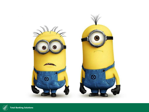